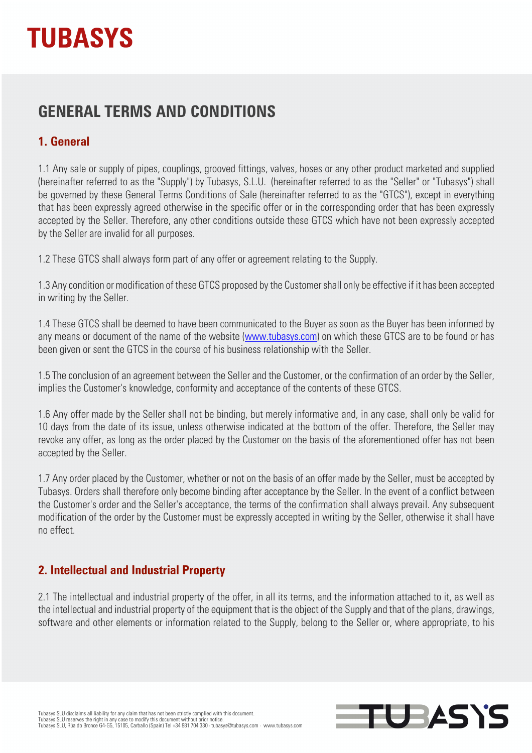## **GENERAL TERMS AND CONDITIONS**

## **1. General**

1.1 Any sale or supply of pipes, couplings, grooved fittings, valves, hoses or any other product marketed and supplied (hereinafter referred to as the "Supply") by Tubasys, S.L.U. (hereinafter referred to as the "Seller" or "Tubasys") shall be governed by these General Terms Conditions of Sale (hereinafter referred to as the "GTCS"), except in everything that has been expressly agreed otherwise in the specific offer or in the corresponding order that has been expressly accepted by the Seller. Therefore, any other conditions outside these GTCS which have not been expressly accepted by the Seller are invalid for all purposes.

1.2 These GTCS shall always form part of any offer or agreement relating to the Supply.

1.3 Any condition or modification of these GTCS proposed by the Customer shall only be effective if it has been accepted in writing by the Seller.

1.4 These GTCS shall be deemed to have been communicated to the Buyer as soon as the Buyer has been informed by any means or document of the name of the website (www.tubasys.com) on which these GTCS are to be found or has been given or sent the GTCS in the course of his business relationship with the Seller.

1.5 The conclusion of an agreement between the Seller and the Customer, or the confirmation of an order by the Seller, implies the Customer's knowledge, conformity and acceptance of the contents of these GTCS.

1.6 Any offer made by the Seller shall not be binding, but merely informative and, in any case, shall only be valid for 10 days from the date of its issue, unless otherwise indicated at the bottom of the offer. Therefore, the Seller may revoke any offer, as long as the order placed by the Customer on the basis of the aforementioned offer has not been accepted by the Seller.

1.7 Any order placed by the Customer, whether or not on the basis of an offer made by the Seller, must be accepted by Tubasys. Orders shall therefore only become binding after acceptance by the Seller. In the event of a conflict between the Customer's order and the Seller's acceptance, the terms of the confirmation shall always prevail. Any subsequent modification of the order by the Customer must be expressly accepted in writing by the Seller, otherwise it shall have no effect.

### **2. Intellectual and Industrial Property**

2.1 The intellectual and industrial property of the offer, in all its terms, and the information attached to it, as well as the intellectual and industrial property of the equipment that is the object of the Supply and that of the plans, drawings, software and other elements or information related to the Supply, belong to the Seller or, where appropriate, to his

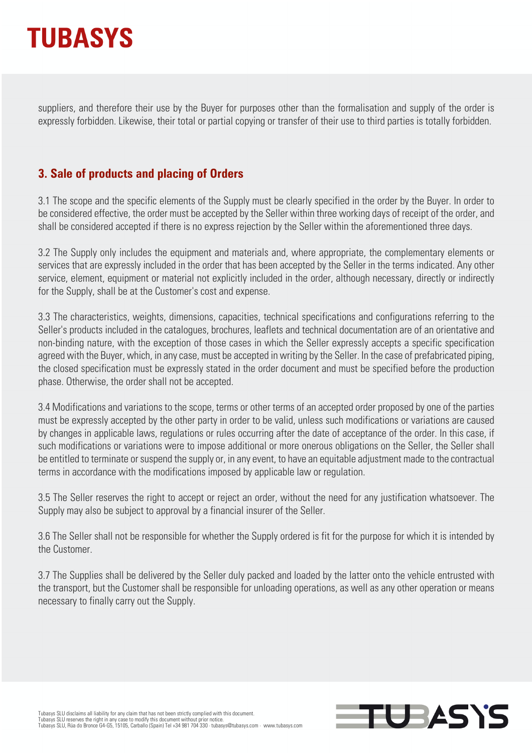

suppliers, and therefore their use by the Buyer for purposes other than the formalisation and supply of the order is expressly forbidden. Likewise, their total or partial copying or transfer of their use to third parties is totally forbidden.

### **3. Sale of products and placing of Orders**

3.1 The scope and the specific elements of the Supply must be clearly specified in the order by the Buyer. In order to be considered effective, the order must be accepted by the Seller within three working days of receipt of the order, and shall be considered accepted if there is no express rejection by the Seller within the aforementioned three days.

3.2 The Supply only includes the equipment and materials and, where appropriate, the complementary elements or services that are expressly included in the order that has been accepted by the Seller in the terms indicated. Any other service, element, equipment or material not explicitly included in the order, although necessary, directly or indirectly for the Supply, shall be at the Customer's cost and expense.

3.3 The characteristics, weights, dimensions, capacities, technical specifications and configurations referring to the Seller's products included in the catalogues, brochures, leaflets and technical documentation are of an orientative and non-binding nature, with the exception of those cases in which the Seller expressly accepts a specific specification agreed with the Buyer, which, in any case, must be accepted in writing by the Seller. In the case of prefabricated piping, the closed specification must be expressly stated in the order document and must be specified before the production phase. Otherwise, the order shall not be accepted.

3.4 Modifications and variations to the scope, terms or other terms of an accepted order proposed by one of the parties must be expressly accepted by the other party in order to be valid, unless such modifications or variations are caused by changes in applicable laws, regulations or rules occurring after the date of acceptance of the order. In this case, if such modifications or variations were to impose additional or more onerous obligations on the Seller, the Seller shall be entitled to terminate or suspend the supply or, in any event, to have an equitable adjustment made to the contractual terms in accordance with the modifications imposed by applicable law or regulation.

3.5 The Seller reserves the right to accept or reject an order, without the need for any justification whatsoever. The Supply may also be subject to approval by a financial insurer of the Seller.

3.6 The Seller shall not be responsible for whether the Supply ordered is fit for the purpose for which it is intended by the Customer.

3.7 The Supplies shall be delivered by the Seller duly packed and loaded by the latter onto the vehicle entrusted with the transport, but the Customer shall be responsible for unloading operations, as well as any other operation or means necessary to finally carry out the Supply.

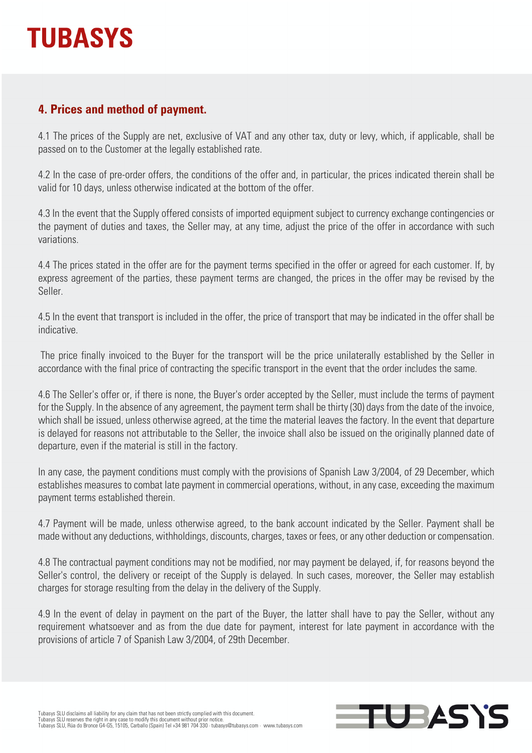### **4. Prices and method of payment.**

4.1 The prices of the Supply are net, exclusive of VAT and any other tax, duty or levy, which, if applicable, shall be passed on to the Customer at the legally established rate.

4.2 In the case of pre-order offers, the conditions of the offer and, in particular, the prices indicated therein shall be valid for 10 days, unless otherwise indicated at the bottom of the offer.

4.3 In the event that the Supply offered consists of imported equipment subject to currency exchange contingencies or the payment of duties and taxes, the Seller may, at any time, adjust the price of the offer in accordance with such variations.

4.4 The prices stated in the offer are for the payment terms specified in the offer or agreed for each customer. If, by express agreement of the parties, these payment terms are changed, the prices in the offer may be revised by the Seller.

4.5 In the event that transport is included in the offer, the price of transport that may be indicated in the offer shall be indicative.

The price finally invoiced to the Buyer for the transport will be the price unilaterally established by the Seller in accordance with the final price of contracting the specific transport in the event that the order includes the same.

4.6 The Seller's offer or, if there is none, the Buyer's order accepted by the Seller, must include the terms of payment for the Supply. In the absence of any agreement, the payment term shall be thirty (30) days from the date of the invoice, which shall be issued, unless otherwise agreed, at the time the material leaves the factory. In the event that departure is delayed for reasons not attributable to the Seller, the invoice shall also be issued on the originally planned date of departure, even if the material is still in the factory.

In any case, the payment conditions must comply with the provisions of Spanish Law 3/2004, of 29 December, which establishes measures to combat late payment in commercial operations, without, in any case, exceeding the maximum payment terms established therein.

4.7 Payment will be made, unless otherwise agreed, to the bank account indicated by the Seller. Payment shall be made without any deductions, withholdings, discounts, charges, taxes or fees, or any other deduction or compensation.

4.8 The contractual payment conditions may not be modified, nor may payment be delayed, if, for reasons beyond the Seller's control, the delivery or receipt of the Supply is delayed. In such cases, moreover, the Seller may establish charges for storage resulting from the delay in the delivery of the Supply.

4.9 In the event of delay in payment on the part of the Buyer, the latter shall have to pay the Seller, without any requirement whatsoever and as from the due date for payment, interest for late payment in accordance with the provisions of article 7 of Spanish Law 3/2004, of 29th December.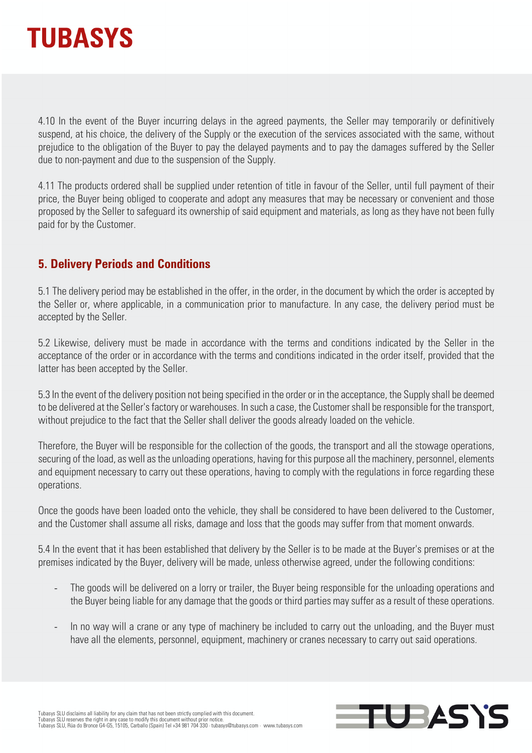

4.10 In the event of the Buyer incurring delays in the agreed payments, the Seller may temporarily or definitively suspend, at his choice, the delivery of the Supply or the execution of the services associated with the same, without prejudice to the obligation of the Buyer to pay the delayed payments and to pay the damages suffered by the Seller due to non-payment and due to the suspension of the Supply.

4.11 The products ordered shall be supplied under retention of title in favour of the Seller, until full payment of their price, the Buyer being obliged to cooperate and adopt any measures that may be necessary or convenient and those proposed by the Seller to safeguard its ownership of said equipment and materials, as long as they have not been fully paid for by the Customer.

#### **5. Delivery Periods and Conditions**

5.1 The delivery period may be established in the offer, in the order, in the document by which the order is accepted by the Seller or, where applicable, in a communication prior to manufacture. In any case, the delivery period must be accepted by the Seller.

5.2 Likewise, delivery must be made in accordance with the terms and conditions indicated by the Seller in the acceptance of the order or in accordance with the terms and conditions indicated in the order itself, provided that the latter has been accepted by the Seller.

5.3 In the event of the delivery position not being specified in the order or in the acceptance, the Supply shall be deemed to be delivered at the Seller's factory or warehouses. In such a case, the Customer shall be responsible for the transport, without prejudice to the fact that the Seller shall deliver the goods already loaded on the vehicle.

Therefore, the Buyer will be responsible for the collection of the goods, the transport and all the stowage operations, securing of the load, as well as the unloading operations, having for this purpose all the machinery, personnel, elements and equipment necessary to carry out these operations, having to comply with the regulations in force regarding these operations.

Once the goods have been loaded onto the vehicle, they shall be considered to have been delivered to the Customer, and the Customer shall assume all risks, damage and loss that the goods may suffer from that moment onwards.

5.4 In the event that it has been established that delivery by the Seller is to be made at the Buyer's premises or at the premises indicated by the Buyer, delivery will be made, unless otherwise agreed, under the following conditions:

- The goods will be delivered on a lorry or trailer, the Buyer being responsible for the unloading operations and the Buyer being liable for any damage that the goods or third parties may suffer as a result of these operations.
- In no way will a crane or any type of machinery be included to carry out the unloading, and the Buyer must have all the elements, personnel, equipment, machinery or cranes necessary to carry out said operations.

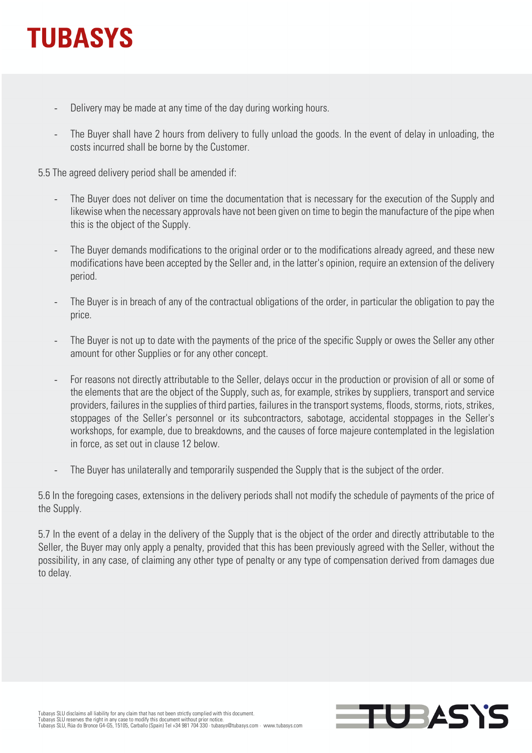- Delivery may be made at any time of the day during working hours.
- The Buyer shall have 2 hours from delivery to fully unload the goods. In the event of delay in unloading, the costs incurred shall be borne by the Customer.

5.5 The agreed delivery period shall be amended if:

- The Buyer does not deliver on time the documentation that is necessary for the execution of the Supply and likewise when the necessary approvals have not been given on time to begin the manufacture of the pipe when this is the object of the Supply.
- The Buyer demands modifications to the original order or to the modifications already agreed, and these new modifications have been accepted by the Seller and, in the latter's opinion, require an extension of the delivery period.
- The Buyer is in breach of any of the contractual obligations of the order, in particular the obligation to pay the price.
- The Buyer is not up to date with the payments of the price of the specific Supply or owes the Seller any other amount for other Supplies or for any other concept.
- For reasons not directly attributable to the Seller, delays occur in the production or provision of all or some of the elements that are the object of the Supply, such as, for example, strikes by suppliers, transport and service providers, failures in the supplies of third parties, failures in the transport systems, floods, storms, riots, strikes, stoppages of the Seller's personnel or its subcontractors, sabotage, accidental stoppages in the Seller's workshops, for example, due to breakdowns, and the causes of force majeure contemplated in the legislation in force, as set out in clause 12 below.
- The Buyer has unilaterally and temporarily suspended the Supply that is the subject of the order.

5.6 In the foregoing cases, extensions in the delivery periods shall not modify the schedule of payments of the price of the Supply.

5.7 In the event of a delay in the delivery of the Supply that is the object of the order and directly attributable to the Seller, the Buyer may only apply a penalty, provided that this has been previously agreed with the Seller, without the possibility, in any case, of claiming any other type of penalty or any type of compensation derived from damages due to delay.

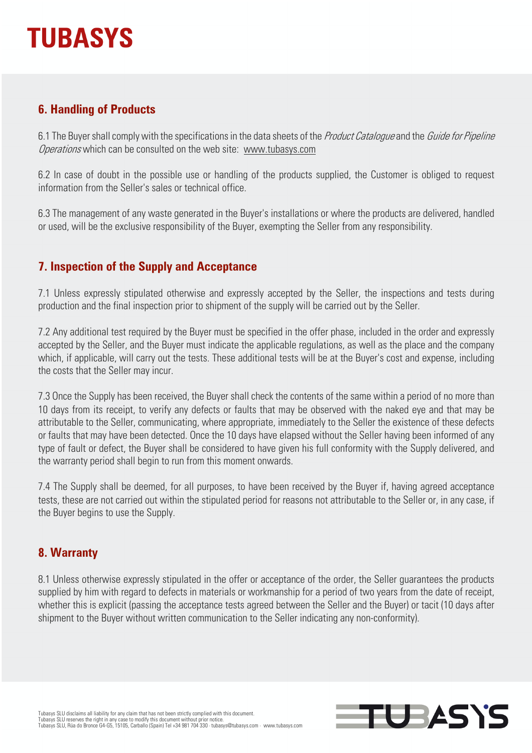### **6. Handling of Products**

6.1 The Buyer shall comply with the specifications in the data sheets of the *Product Catalogue* and the *Guide for Pipeline* Operations which can be consulted on the web site: www.tubasys.com

6.2 In case of doubt in the possible use or handling of the products supplied, the Customer is obliged to request information from the Seller's sales or technical office.

6.3 The management of any waste generated in the Buyer's installations or where the products are delivered, handled or used, will be the exclusive responsibility of the Buyer, exempting the Seller from any responsibility.

### **7. Inspection of the Supply and Acceptance**

7.1 Unless expressly stipulated otherwise and expressly accepted by the Seller, the inspections and tests during production and the final inspection prior to shipment of the supply will be carried out by the Seller.

7.2 Any additional test required by the Buyer must be specified in the offer phase, included in the order and expressly accepted by the Seller, and the Buyer must indicate the applicable regulations, as well as the place and the company which, if applicable, will carry out the tests. These additional tests will be at the Buyer's cost and expense, including the costs that the Seller may incur.

7.3 Once the Supply has been received, the Buyer shall check the contents of the same within a period of no more than 10 days from its receipt, to verify any defects or faults that may be observed with the naked eye and that may be attributable to the Seller, communicating, where appropriate, immediately to the Seller the existence of these defects or faults that may have been detected. Once the 10 days have elapsed without the Seller having been informed of any type of fault or defect, the Buyer shall be considered to have given his full conformity with the Supply delivered, and the warranty period shall begin to run from this moment onwards.

7.4 The Supply shall be deemed, for all purposes, to have been received by the Buyer if, having agreed acceptance tests, these are not carried out within the stipulated period for reasons not attributable to the Seller or, in any case, if the Buyer begins to use the Supply.

### **8. Warranty**

8.1 Unless otherwise expressly stipulated in the offer or acceptance of the order, the Seller guarantees the products supplied by him with regard to defects in materials or workmanship for a period of two years from the date of receipt, whether this is explicit (passing the acceptance tests agreed between the Seller and the Buyer) or tacit (10 days after shipment to the Buyer without written communication to the Seller indicating any non-conformity).

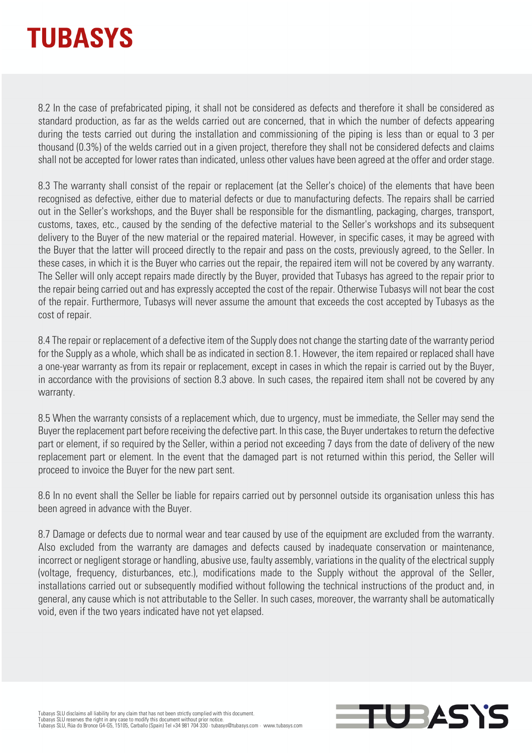8.2 In the case of prefabricated piping, it shall not be considered as defects and therefore it shall be considered as standard production, as far as the welds carried out are concerned, that in which the number of defects appearing during the tests carried out during the installation and commissioning of the piping is less than or equal to 3 per thousand (0.3%) of the welds carried out in a given project, therefore they shall not be considered defects and claims shall not be accepted for lower rates than indicated, unless other values have been agreed at the offer and order stage.

8.3 The warranty shall consist of the repair or replacement (at the Seller's choice) of the elements that have been recognised as defective, either due to material defects or due to manufacturing defects. The repairs shall be carried out in the Seller's workshops, and the Buyer shall be responsible for the dismantling, packaging, charges, transport, customs, taxes, etc., caused by the sending of the defective material to the Seller's workshops and its subsequent delivery to the Buyer of the new material or the repaired material. However, in specific cases, it may be agreed with the Buyer that the latter will proceed directly to the repair and pass on the costs, previously agreed, to the Seller. In these cases, in which it is the Buyer who carries out the repair, the repaired item will not be covered by any warranty. The Seller will only accept repairs made directly by the Buyer, provided that Tubasys has agreed to the repair prior to the repair being carried out and has expressly accepted the cost of the repair. Otherwise Tubasys will not bear the cost of the repair. Furthermore, Tubasys will never assume the amount that exceeds the cost accepted by Tubasys as the cost of repair.

8.4 The repair or replacement of a defective item of the Supply does not change the starting date of the warranty period for the Supply as a whole, which shall be as indicated in section 8.1. However, the item repaired or replaced shall have a one-year warranty as from its repair or replacement, except in cases in which the repair is carried out by the Buyer, in accordance with the provisions of section 8.3 above. In such cases, the repaired item shall not be covered by any warranty.

8.5 When the warranty consists of a replacement which, due to urgency, must be immediate, the Seller may send the Buyer the replacement part before receiving the defective part. In this case, the Buyer undertakes to return the defective part or element, if so required by the Seller, within a period not exceeding 7 days from the date of delivery of the new replacement part or element. In the event that the damaged part is not returned within this period, the Seller will proceed to invoice the Buyer for the new part sent.

8.6 In no event shall the Seller be liable for repairs carried out by personnel outside its organisation unless this has been agreed in advance with the Buyer.

8.7 Damage or defects due to normal wear and tear caused by use of the equipment are excluded from the warranty. Also excluded from the warranty are damages and defects caused by inadequate conservation or maintenance, incorrect or negligent storage or handling, abusive use, faulty assembly, variations in the quality of the electrical supply (voltage, frequency, disturbances, etc.), modifications made to the Supply without the approval of the Seller, installations carried out or subsequently modified without following the technical instructions of the product and, in general, any cause which is not attributable to the Seller. In such cases, moreover, the warranty shall be automatically void, even if the two years indicated have not yet elapsed.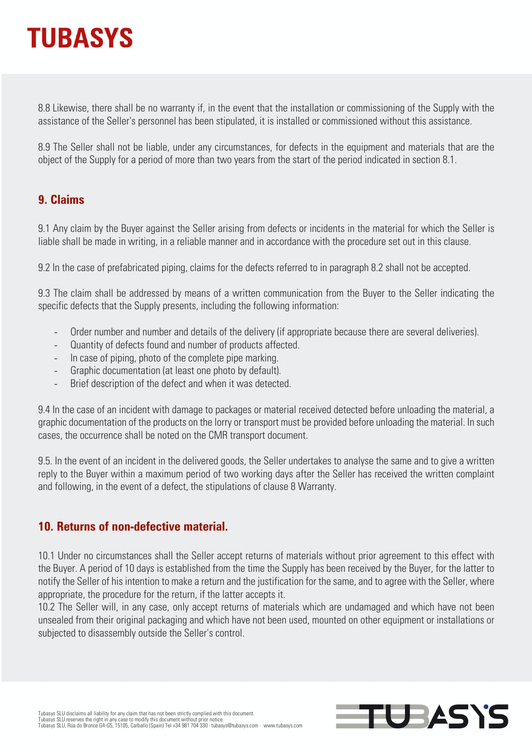8.8 Likewise, there shall be no warranty if, in the event that the installation or commissioning of the Supply with the assistance of the Seller's personnel has been stipulated, it is installed or commissioned without this assistance.

8.9 The Seller shall not be liable, under any circumstances, for defects in the equipment and materials that are the object of the Supply for a period of more than two years from the start of the period indicated in section 8.1.

#### **9. Claims**

9.1 Any claim by the Buyer against the Seller arising from defects or incidents in the material for which the Seller is liable shall be made in writing, in a reliable manner and in accordance with the procedure set out in this clause.

9.2 In the case of prefabricated piping, claims for the defects referred to in paragraph 8.2 shall not be accepted.

9.3 The claim shall be addressed by means of a written communication from the Buyer to the Seller indicating the specific defects that the Supply presents, including the following information:

- Order number and number and details of the delivery (if appropriate because there are several deliveries).
- Quantity of defects found and number of products affected.
- In case of piping, photo of the complete pipe marking.
- Graphic documentation (at least one photo by default).
- Brief description of the defect and when it was detected.

9.4 In the case of an incident with damage to packages or material received detected before unloading the material, a graphic documentation of the products on the lorry or transport must be provided before unloading the material. In such cases, the occurrence shall be noted on the CMR transport document.

9.5. In the event of an incident in the delivered goods, the Seller undertakes to analyse the same and to give a written reply to the Buyer within a maximum period of two working days after the Seller has received the written complaint and following, in the event of a defect, the stipulations of clause 8 Warranty.

#### **10. Returns of non-defective material.**

10.1 Under no circumstances shall the Seller accept returns of materials without prior agreement to this effect with the Buyer. A period of 10 days is established from the time the Supply has been received by the Buyer, for the latter to notify the Seller of his intention to make a return and the justification for the same, and to agree with the Seller, where appropriate, the procedure for the return, if the latter accepts it.

10.2 The Seller will, in any case, only accept returns of materials which are undamaged and which have not been unsealed from their original packaging and which have not been used, mounted on other equipment or installations or subjected to disassembly outside the Seller's control.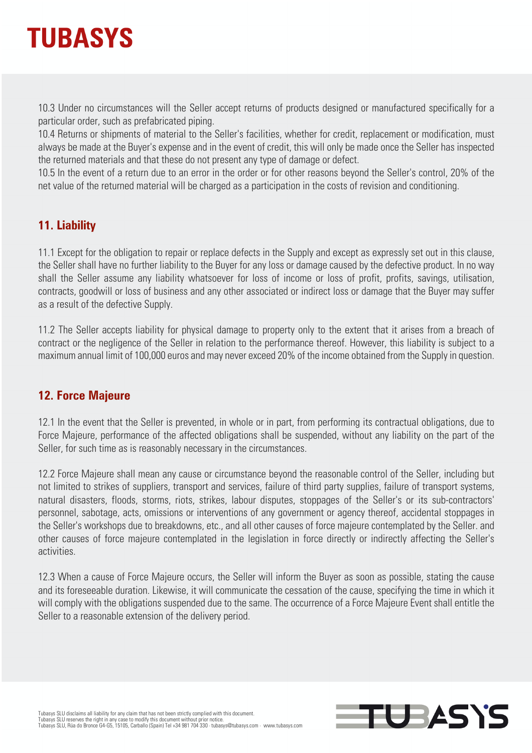

10.3 Under no circumstances will the Seller accept returns of products designed or manufactured specifically for a particular order, such as prefabricated piping.

10.4 Returns or shipments of material to the Seller's facilities, whether for credit, replacement or modification, must always be made at the Buyer's expense and in the event of credit, this will only be made once the Seller has inspected the returned materials and that these do not present any type of damage or defect.

10.5 In the event of a return due to an error in the order or for other reasons beyond the Seller's control, 20% of the net value of the returned material will be charged as a participation in the costs of revision and conditioning.

#### **11. Liability**

11.1 Except for the obligation to repair or replace defects in the Supply and except as expressly set out in this clause, the Seller shall have no further liability to the Buyer for any loss or damage caused by the defective product. In no way shall the Seller assume any liability whatsoever for loss of income or loss of profit, profits, savings, utilisation, contracts, goodwill or loss of business and any other associated or indirect loss or damage that the Buyer may suffer as a result of the defective Supply.

11.2 The Seller accepts liability for physical damage to property only to the extent that it arises from a breach of contract or the negligence of the Seller in relation to the performance thereof. However, this liability is subject to a maximum annual limit of 100,000 euros and may never exceed 20% of the income obtained from the Supply in question.

#### **12. Force Majeure**

12.1 In the event that the Seller is prevented, in whole or in part, from performing its contractual obligations, due to Force Majeure, performance of the affected obligations shall be suspended, without any liability on the part of the Seller, for such time as is reasonably necessary in the circumstances.

12.2 Force Majeure shall mean any cause or circumstance beyond the reasonable control of the Seller, including but not limited to strikes of suppliers, transport and services, failure of third party supplies, failure of transport systems, natural disasters, floods, storms, riots, strikes, labour disputes, stoppages of the Seller's or its sub-contractors' personnel, sabotage, acts, omissions or interventions of any government or agency thereof, accidental stoppages in the Seller's workshops due to breakdowns, etc., and all other causes of force majeure contemplated by the Seller. and other causes of force majeure contemplated in the legislation in force directly or indirectly affecting the Seller's activities.

12.3 When a cause of Force Majeure occurs, the Seller will inform the Buyer as soon as possible, stating the cause and its foreseeable duration. Likewise, it will communicate the cessation of the cause, specifying the time in which it will comply with the obligations suspended due to the same. The occurrence of a Force Majeure Event shall entitle the Seller to a reasonable extension of the delivery period.